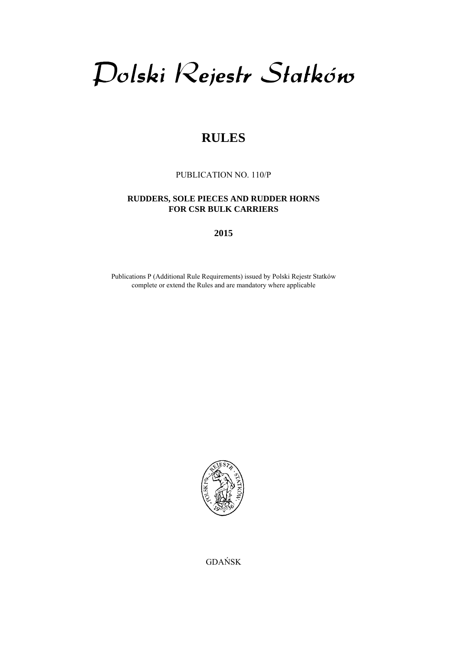# Dolski Rejestr Statków

## **RULES**

PUBLICATION NO. 110/P

## **RUDDERS, SOLE PIECES AND RUDDER HORNS FOR CSR BULK CARRIERS**

**2015** 

Publications P (Additional Rule Requirements) issued by Polski Rejestr Statków complete or extend the Rules and are mandatory where applicable



GDAŃSK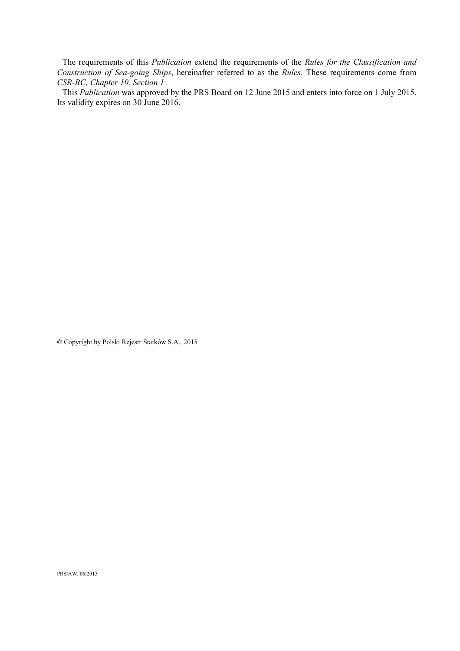The requirements of this *Publication* extend the requirements of the *Rules for the Classification and Construction of Sea-going Ships*, hereinafter referred to as the *Rules.* These requirements come from *CSR-BC, Chapter 10, Section 1 .*

This *Publication* was approved by the PRS Board on 12 June 2015 and enters into force on 1 July 2015. Its validity expires on 30 June 2016.

**©** Copyright by Polski Rejestr Statków S.A., 2015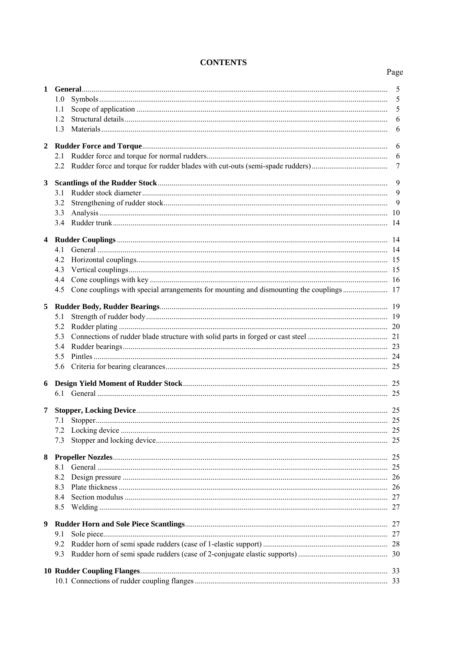## **CONTENTS**

## Page

| $\mathbf{1}$   |     |  | 5                |  |  |  |
|----------------|-----|--|------------------|--|--|--|
|                | 1.0 |  | 5                |  |  |  |
|                | 1.1 |  | 5                |  |  |  |
|                | 1.2 |  | 6                |  |  |  |
|                | 1.3 |  | 6                |  |  |  |
| $\overline{2}$ |     |  | -6               |  |  |  |
|                | 2.1 |  |                  |  |  |  |
|                |     |  | $\boldsymbol{7}$ |  |  |  |
| 3              |     |  |                  |  |  |  |
|                | 3.1 |  | 9                |  |  |  |
|                | 3.2 |  |                  |  |  |  |
|                | 3.3 |  |                  |  |  |  |
|                |     |  |                  |  |  |  |
| 4              |     |  |                  |  |  |  |
|                | 4.1 |  |                  |  |  |  |
|                | 4.2 |  |                  |  |  |  |
|                | 4.3 |  |                  |  |  |  |
|                | 4.4 |  |                  |  |  |  |
|                | 4.5 |  |                  |  |  |  |
| 5              |     |  |                  |  |  |  |
|                | 5.1 |  |                  |  |  |  |
|                | 5.2 |  |                  |  |  |  |
|                | 5.3 |  |                  |  |  |  |
|                | 5.4 |  |                  |  |  |  |
|                | 5.5 |  |                  |  |  |  |
|                |     |  |                  |  |  |  |
| 6              |     |  |                  |  |  |  |
|                |     |  |                  |  |  |  |
| 7              |     |  |                  |  |  |  |
|                | 7.1 |  |                  |  |  |  |
|                |     |  |                  |  |  |  |
|                | 7.3 |  |                  |  |  |  |
|                |     |  |                  |  |  |  |
| 8              |     |  |                  |  |  |  |
|                | 8.1 |  |                  |  |  |  |
|                | 8.2 |  |                  |  |  |  |
|                | 8.3 |  |                  |  |  |  |
|                | 8.4 |  |                  |  |  |  |
|                | 8.5 |  |                  |  |  |  |
| 9              |     |  |                  |  |  |  |
|                | 9.1 |  |                  |  |  |  |
|                | 9.2 |  |                  |  |  |  |
|                | 9.3 |  |                  |  |  |  |
|                |     |  |                  |  |  |  |
|                |     |  |                  |  |  |  |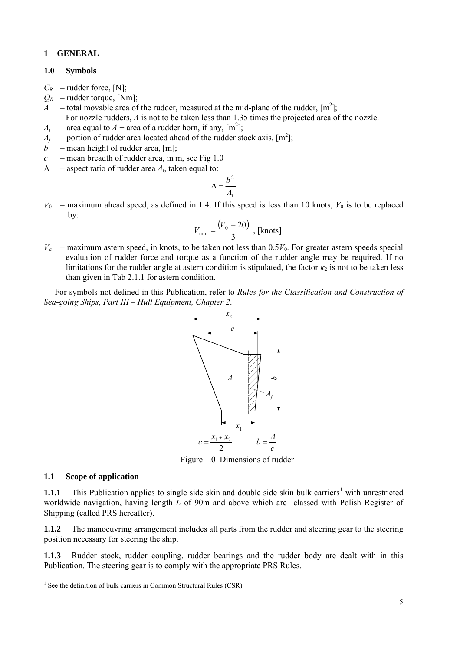## <span id="page-4-0"></span>**1 GENERAL**

## **1.0 Symbols**

- $C_R$  rudder force, [N];
- $Q_R$  rudder torque, [Nm];
- *A* total movable area of the rudder, measured at the mid-plane of the rudder,  $[m^2]$ ; For nozzle rudders, *A* is not to be taken less than 1.35 times the projected area of the nozzle.
- $A_t$  area equal to  $A$  + area of a rudder horn, if any,  $[m^2]$ ;
- $A_f$  portion of rudder area located ahead of the rudder stock axis,  $[m^2]$ ;
- *mean height of rudder area, [m];*
- $c$  mean breadth of rudder area, in m, see Fig 1.0
- $\Lambda$  aspect ratio of rudder area  $A_t$ , taken equal to:

$$
\Lambda = \frac{b^2}{A_t}
$$

 $V_0$  – maximum ahead speed, as defined in 1.4. If this speed is less than 10 knots,  $V_0$  is to be replaced by:

$$
V_{\min} = \frac{(V_0 + 20)}{3}
$$
, [knots]

 $V_a$  – maximum astern speed, in knots, to be taken not less than  $0.5V_0$ . For greater astern speeds special evaluation of rudder force and torque as a function of the rudder angle may be required. If no limitations for the rudder angle at astern condition is stipulated, the factor  $\kappa_2$  is not to be taken less than given in Tab 2.1.1 for astern condition.

For symbols not defined in this Publication, refer to *Rules for the Classification and Construction of Sea-going Ships, Part III – Hull Equipment, Chapter 2*.



Figure 1.0 Dimensions of rudder

## **1.1 Scope of application**

l

**[1](#page-4-1).1.1** This Publication applies to single side skin and double side skin bulk carriers<sup>1</sup> with unrestricted worldwide navigation, having length *L* of 90m and above which are classed with Polish Register of Shipping (called PRS hereafter).

**1.1.2** The manoeuvring arrangement includes all parts from the rudder and steering gear to the steering position necessary for steering the ship.

**1.1.3** Rudder stock, rudder coupling, rudder bearings and the rudder body are dealt with in this Publication. The steering gear is to comply with the appropriate PRS Rules.

<span id="page-4-1"></span><sup>&</sup>lt;sup>1</sup> See the definition of bulk carriers in Common Structural Rules (CSR)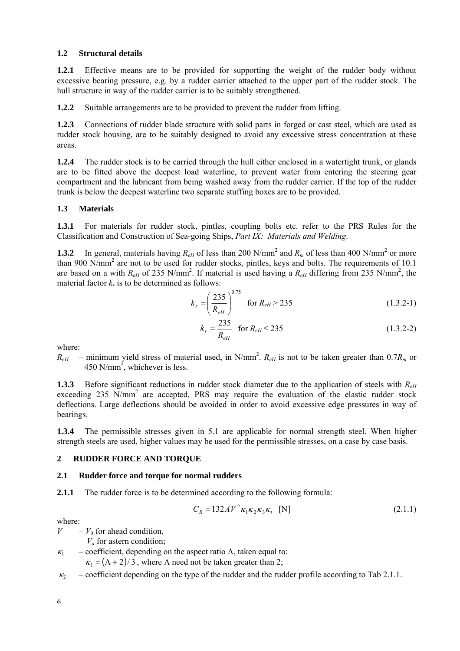## <span id="page-5-0"></span>**1.2 Structural details**

**1.2.1** Effective means are to be provided for supporting the weight of the rudder body without excessive bearing pressure, e.g. by a rudder carrier attached to the upper part of the rudder stock. The hull structure in way of the rudder carrier is to be suitably strengthened.

**1.2.2** Suitable arrangements are to be provided to prevent the rudder from lifting.

**1.2.3** Connections of rudder blade structure with solid parts in forged or cast steel, which are used as rudder stock housing, are to be suitably designed to avoid any excessive stress concentration at these areas.

**1.2.4** The rudder stock is to be carried through the hull either enclosed in a watertight trunk, or glands are to be fitted above the deepest load waterline, to prevent water from entering the steering gear compartment and the lubricant from being washed away from the rudder carrier. If the top of the rudder trunk is below the deepest waterline two separate stuffing boxes are to be provided.

## **1.3 Materials**

**1.3.1** For materials for rudder stock, pintles, coupling bolts etc. refer to the PRS Rules for the Classification and Construction of Sea-going Ships, *Part IX: Materials and Welding*.

**1.3.2** In general, materials having  $R_{eH}$  of less than 200 N/mm<sup>2</sup> and  $R_m$  of less than 400 N/mm<sup>2</sup> or more than 900 N/mm<sup>2</sup> are not to be used for rudder stocks, pintles, keys and bolts. The requirements of 10.1 are based on a with  $R_{eH}$  of 235 N/mm<sup>2</sup>. If material is used having a  $R_{eH}$  differing from 235 N/mm<sup>2</sup>, the material factor  $k_r$  is to be determined as follows:

$$
k_r = \left(\frac{235}{R_{eH}}\right)^{0.75} \quad \text{for } R_{eH} > 235 \tag{1.3.2-1}
$$

$$
k_r = \frac{235}{R_{\text{eff}}} \quad \text{for } R_{\text{eff}} \le 235 \tag{1.3.2-2}
$$

where:

 $R_{eH}$  – minimum yield stress of material used, in N/mm<sup>2</sup>.  $R_{eH}$  is not to be taken greater than 0.7 $R_m$  or 450 N/mm<sup>2</sup>, whichever is less.

**1.3.3** Before significant reductions in rudder stock diameter due to the application of steels with *ReH* exceeding 235 N/mm<sup>2</sup> are accepted, PRS may require the evaluation of the elastic rudder stock deflections. Large deflections should be avoided in order to avoid excessive edge pressures in way of bearings.

**1.3.4** The permissible stresses given in 5.1 are applicable for normal strength steel. When higher strength steels are used, higher values may be used for the permissible stresses, on a case by case basis.

## **2 RUDDER FORCE AND TORQUE**

## **2.1 Rudder force and torque for normal rudders**

**2.1.1** The rudder force is to be determined according to the following formula:

$$
C_R = 132A V^2 \kappa_1 \kappa_2 \kappa_3 \kappa_t \quad [N] \tag{2.1.1}
$$

where:

 $V - V_0$  for ahead condition,

 $V_a$  for astern condition;

 $\kappa_1$  – coefficient, depending on the aspect ratio Λ, taken equal to:

 $\kappa_1 = (\Lambda + 2)/3$ , where  $\Lambda$  need not be taken greater than 2;

 $\kappa_2$  – coefficient depending on the type of the rudder and the rudder profile according to Tab 2.1.1.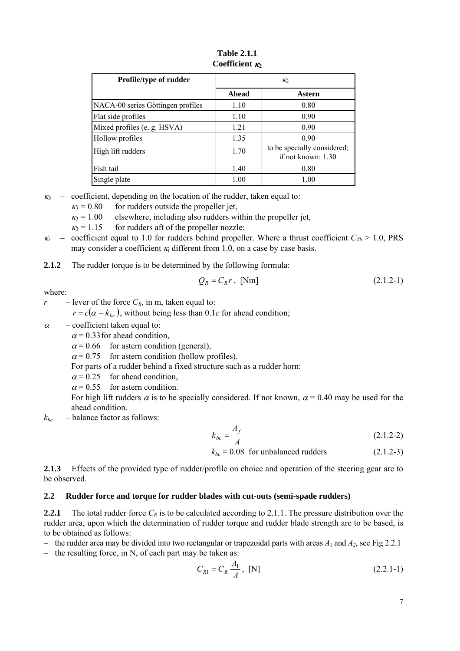<span id="page-6-0"></span>

| <b>Profile/type of rudder</b>     | $K_2$ |                                                   |  |
|-----------------------------------|-------|---------------------------------------------------|--|
|                                   | Ahead | Astern                                            |  |
| NACA-00 series Göttingen profiles | 1.10  | 0.80                                              |  |
| Flat side profiles                | 1.10  | 0.90                                              |  |
| Mixed profiles (e. g. HSVA)       | 1.21  | 0.90                                              |  |
| Hollow profiles                   | 1.35  | 0.90                                              |  |
| High lift rudders                 | 1.70  | to be specially considered;<br>if not known: 1.30 |  |
| Fish tail                         | 1.40  | 0.80                                              |  |
| Single plate                      | 1.00  | 1.00                                              |  |

**Table 2.1.1 Coefficient** *κ*<sub>2</sub>

 $k_3$  – coefficient, depending on the location of the rudder, taken equal to:

 $k_3 = 0.80$  for rudders outside the propeller jet,

 $k_3$  = 1.00 elsewhere, including also rudders within the propeller jet,

 $k_3 = 1.15$  for rudders aft of the propeller nozzle;

 $\kappa_t$  – coefficient equal to 1.0 for rudders behind propeller. Where a thrust coefficient  $C_{Th} > 1.0$ , PRS may consider a coefficient  $\kappa_t$  different from 1.0, on a case by case basis.

**2.1.2** The rudder torque is to be determined by the following formula:

$$
Q_R = C_R r, \text{ [Nm]} \tag{2.1.2-1}
$$

where:

*r* – lever of the force  $C_R$ , in m, taken equal to:

 $r = c(\alpha - k_{bc})$ , without being less than 0.1*c* for ahead condition;

 $\alpha$  – coefficient taken equal to:

 $\alpha$  = 0.33 for ahead condition,

 $\alpha$  = 0.66 for astern condition (general),

 $\alpha$  = 0.75 for astern condition (hollow profiles).

For parts of a rudder behind a fixed structure such as a rudder horn:

 $\alpha$  = 0.25 for ahead condition,

 $\alpha$  = 0.55 for astern condition.

For high lift rudders  $\alpha$  is to be specially considered. If not known,  $\alpha$  = 0.40 may be used for the ahead condition.

 $k_{bc}$  – balance factor as follows:

$$
k_{bc} = \frac{A_f}{A} \tag{2.1.2-2}
$$

 $k_{bc} = 0.08$  for unbalanced rudders (2.1.2-3)

**2.1.3** Effects of the provided type of rudder/profile on choice and operation of the steering gear are to be observed.

## **2.2 Rudder force and torque for rudder blades with cut-outs (semi-spade rudders)**

**2.2.1** The total rudder force  $C_R$  is to be calculated according to 2.1.1. The pressure distribution over the rudder area, upon which the determination of rudder torque and rudder blade strength are to be based, is to be obtained as follows:

– the rudder area may be divided into two rectangular or trapezoidal parts with areas  $A_1$  and  $A_2$ , see Fig 2.2.1

– the resulting force, in N, of each part may be taken as:

$$
C_{R1} = C_R \frac{A_1}{A}, \text{ [N]} \tag{2.2.1-1}
$$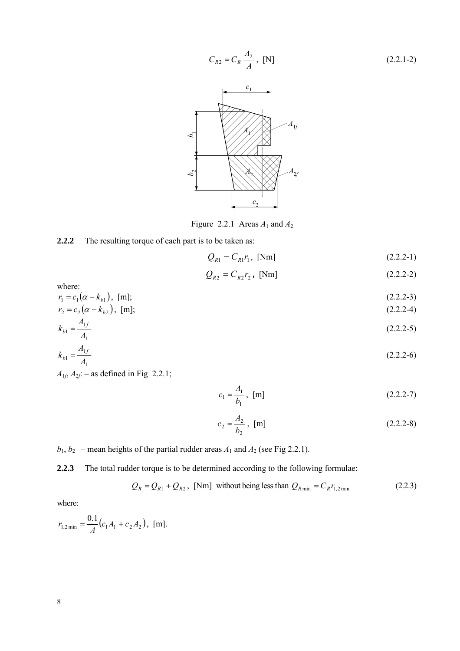$$
C_{R2} = C_R \frac{A_2}{A}, \text{ [N]}
$$
\n
$$
C_1
$$
\n
$$
A_V
$$
\n
$$
A_V
$$
\n
$$
A_V
$$



Figure 2.2.1 Areas  $A_1$  and  $A_2$ 



$$
Q_{R1} = C_{R1} r_1, \text{ [Nm]} \tag{2.2.2-1}
$$

$$
Q_{R2} = C_{R2} r_2, \text{ [Nm]} \tag{2.2.2-2}
$$

where:

 $r_1 = c_1(\alpha - k_{b1}), \text{ [m]};$  (2.2.2-3)

$$
r_2 = c_2(\alpha - k_{b2}), \text{ [m]};
$$
\n
$$
A_1
$$
\n
$$
(2.2.2-4)
$$

$$
k_{b1} = \frac{A_{1f}}{A_1}
$$
 (2.2.2-5)

$$
k_{b1} = \frac{A_{1f}}{A_1} \tag{2.2.2-6}
$$

 $A_{1f}$ ,  $A_{2f}$ : – as defined in Fig 2.2.1;

$$
c_1 = \frac{A_1}{b_1}, \text{ [m]} \tag{2.2.2-7}
$$

$$
c_2 = \frac{A_2}{b_2}, \text{ [m]}
$$
 (2.2.2-8)

 $b_1$ ,  $b_2$  – mean heights of the partial rudder areas  $A_1$  and  $A_2$  (see Fig 2.2.1).

**2.2.3** The total rudder torque is to be determined according to the following formulae:

$$
Q_R = Q_{R1} + Q_{R2}, \text{ [Nm]} \text{ without being less than } Q_{R\min} = C_R r_{1,2\min} \tag{2.2.3}
$$

where:

$$
r_{1,2\min} = \frac{0.1}{A} (c_1 A_1 + c_2 A_2), \text{ [m]}.
$$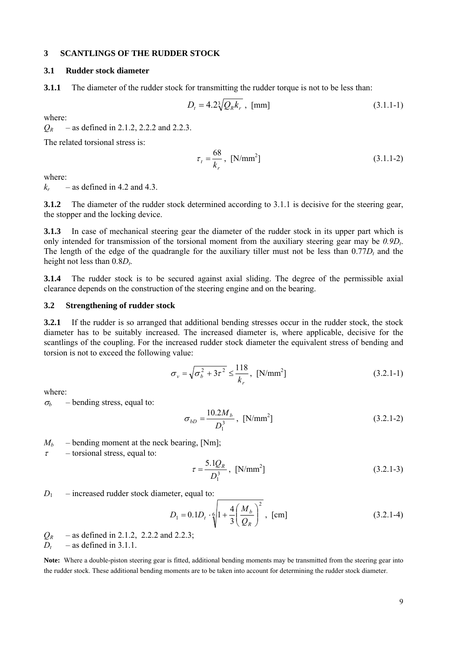#### <span id="page-8-0"></span>**3 SCANTLINGS OF THE RUDDER STOCK**

#### **3.1 Rudder stock diameter**

**3.1.1** The diameter of the rudder stock for transmitting the rudder torque is not to be less than:

$$
D_t = 4.2\sqrt[3]{Q_R k_r} , [mm]
$$
 (3.1.1-1)

where:

*QR* – as defined in 2.1.2, 2.2.2 and 2.2.3.

The related torsional stress is:

$$
\tau_t = \frac{68}{k_r}, \text{ [N/mm}^2 \text{]}
$$
 (3.1.1-2)

where:

 $k_r$  – as defined in 4.2 and 4.3.

**3.1.2** The diameter of the rudder stock determined according to 3.1.1 is decisive for the steering gear, the stopper and the locking device.

**3.1.3** In case of mechanical steering gear the diameter of the rudder stock in its upper part which is only intended for transmission of the torsional moment from the auxiliary steering gear may be  $0.9D_t$ . The length of the edge of the quadrangle for the auxiliary tiller must not be less than  $0.77D<sub>t</sub>$  and the height not less than  $0.8D_t$ .

**3.1.4** The rudder stock is to be secured against axial sliding. The degree of the permissible axial clearance depends on the construction of the steering engine and on the bearing.

#### **3.2 Strengthening of rudder stock**

**3.2.1** If the rudder is so arranged that additional bending stresses occur in the rudder stock, the stock diameter has to be suitably increased. The increased diameter is, where applicable, decisive for the scantlings of the coupling. For the increased rudder stock diameter the equivalent stress of bending and torsion is not to exceed the following value:

$$
\sigma_{v} = \sqrt{\sigma_{b}^{2} + 3\tau^{2}} \le \frac{118}{k_{r}}, \text{ [N/mm}^{2}\text{]}
$$
 (3.2.1-1)

where:

 $\sigma_b$  – bending stress, equal to:

$$
\sigma_{bD} = \frac{10.2M_b}{D_1^3}, \text{ [N/mm}^2\text{]}
$$
\n(3.2.1-2)

 $M_b$  – bending moment at the neck bearing, [Nm];

 $\tau$  – torsional stress, equal to:

$$
\tau = \frac{5.1Q_R}{D_1^3}, \text{ [N/mm}^2 \text{]}
$$
 (3.2.1-3)

 $D_1$  – increased rudder stock diameter, equal to:

$$
D_1 = 0.1D_t \cdot \sqrt[6]{1 + \frac{4}{3} \left(\frac{M_b}{Q_R}\right)^2}, \text{ [cm]}
$$
 (3.2.1-4)

 $Q_R$  – as defined in 2.1.2, 2.2.2 and 2.2.3;

 $D_t$  – as defined in 3.1.1.

**Note:** Where a double-piston steering gear is fitted, additional bending moments may be transmitted from the steering gear into the rudder stock. These additional bending moments are to be taken into account for determining the rudder stock diameter.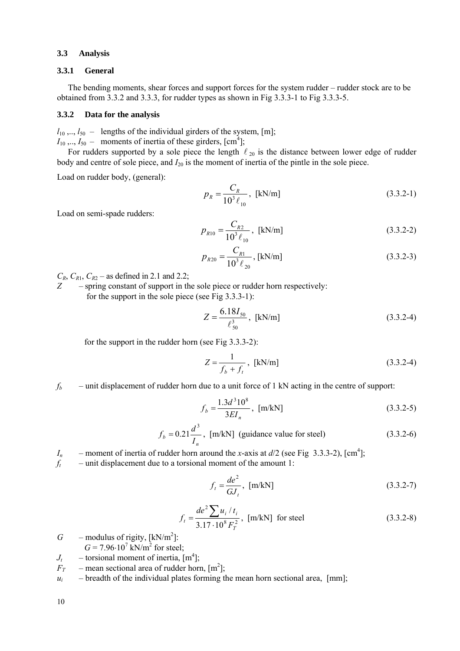#### <span id="page-9-0"></span>**3.3 Analysis**

#### **3.3.1 General**

The bending moments, shear forces and support forces for the system rudder – rudder stock are to be obtained from 3.3.2 and 3.3.3, for rudder types as shown in Fig 3.3.3-1 to Fig 3.3.3-5.

#### **3.3.2 Data for the analysis**

 $l_{10}$ ,..,  $l_{50}$  – lengths of the individual girders of the system, [m];

 $I_{10},..., I_{50}$  – moments of inertia of these girders,  $[cm<sup>4</sup>]$ ; For rudders supported by a sole piece the length  $\ell_{20}$  is the distance between lower edge of rudder

body and centre of sole piece, and *I*20 is the moment of inertia of the pintle in the sole piece.

Load on rudder body, (general):

$$
p_R = \frac{C_R}{10^3 \ell_{10}}, \text{ [kN/m]} \tag{3.3.2-1}
$$

Load on semi-spade rudders:

$$
p_{R10} = \frac{C_{R2}}{10^3 \ell_{10}}, \text{ [kN/m]} \tag{3.3.2-2}
$$

$$
p_{R20} = \frac{C_{R1}}{10^3 \ell_{20}}, \text{ [kN/m]} \tag{3.3.2-3}
$$

 $C_R$ ,  $C_{R1}$ ,  $C_{R2}$  – as defined in 2.1 and 2.2;

*Z* – spring constant of support in the sole piece or rudder horn respectively: for the support in the sole piece (see Fig 3.3.3-1):

$$
Z = \frac{6.18I_{50}}{\ell_{50}^3}, \text{ [kN/m]} \tag{3.3.2-4}
$$

for the support in the rudder horn (see Fig 3.3.3-2):

$$
Z = \frac{1}{f_b + f_t}, \text{ [kN/m]} \tag{3.3.2-4}
$$

 $f_b$  – unit displacement of rudder horn due to a unit force of 1 kN acting in the centre of support:

$$
f_b = \frac{1.3d^3 10^8}{3EI_n}, \text{ [m/kN]} \tag{3.3.2-5}
$$

$$
f_b = 0.21 \frac{d^3}{I_n}
$$
, [m/kN] (guide value for steel) (3.3.2-6)

*I<sub>n</sub>* – moment of inertia of rudder horn around the *x*-axis at  $d/2$  (see Fig 3.3.3-2), [cm<sup>4</sup>];

 $f_t$  – unit displacement due to a torsional moment of the amount 1:

$$
f_t = \frac{de^2}{GJ_t}, \text{ [m/kN]} \tag{3.3.2-7}
$$

$$
f_t = \frac{de^2 \sum u_i / t_i}{3.17 \cdot 10^8 F_T^2}
$$
, [m/kN] for steel (3.3.2-8)

- $G$  modulus of rigity,  $[kN/m^2]$ :
- $G = 7.96 \cdot 10^7$  kN/m<sup>2</sup> for steel;
- $J_t$  torsional moment of inertia,  $[m^4]$ ;
- $F_T$  mean sectional area of rudder horn,  $[m^2]$ ;
- $u_i$  breadth of the individual plates forming the mean horn sectional area,  $\text{[mm]}$ ;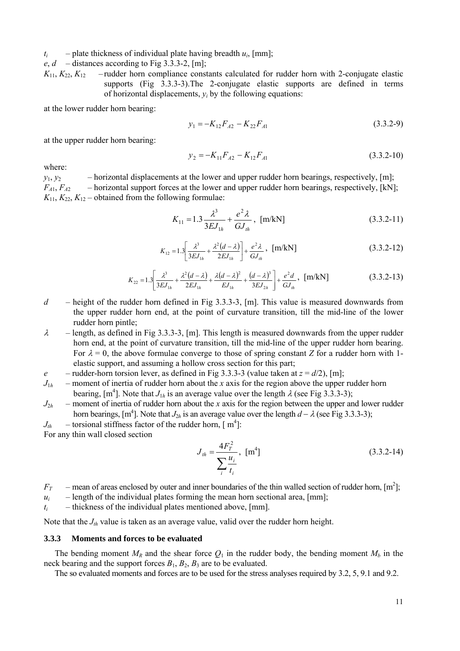$t_i$  – plate thickness of individual plate having breadth  $u_i$ , [mm];

 $e, d$  – distances according to Fig 3.3.3-2, [m];

 $K_{11}$ ,  $K_{22}$ ,  $K_{12}$  – rudder horn compliance constants calculated for rudder horn with 2-conjugate elastic supports (Fig 3.3.3-3).The 2-conjugate elastic supports are defined in terms of horizontal displacements,  $y_i$  by the following equations:

at the lower rudder horn bearing:

$$
y_1 = -K_{12}F_{A2} - K_{22}F_{A1} \tag{3.3.2-9}
$$

at the upper rudder horn bearing:

$$
y_2 = -K_{11}F_{A2} - K_{12}F_{A1}
$$
 (3.3.2-10)

where:

 $y_1, y_2$  – horizontal displacements at the lower and upper rudder horn bearings, respectively, [m];  $F_{A1}$ ,  $F_{A2}$  – horizontal support forces at the lower and upper rudder horn bearings, respectively, [kN];  $K_{11}$ ,  $K_{22}$ ,  $K_{12}$  – obtained from the following formulae:

$$
K_{11} = 1.3 \frac{\lambda^3}{3E J_{1h}} + \frac{e^2 \lambda}{G J_{th}}, \text{ [m/kN]} \tag{3.3.2-11}
$$

$$
K_{12} = 1.3 \left[ \frac{\lambda^3}{3EJ_{1h}} + \frac{\lambda^2(d-\lambda)}{2EJ_{1h}} \right] + \frac{e^2\lambda}{GM_h}, \quad [\text{m/kN}]
$$
 (3.3.2-12)

$$
K_{22} = 1.3 \left[ \frac{\lambda^3}{3EJ_{1h}} + \frac{\lambda^2(d-\lambda)}{2EJ_{1h}} + \frac{\lambda(d-\lambda)^2}{EJ_{1h}} + \frac{(d-\lambda)^3}{3EJ_{2h}} \right] + \frac{e^2d}{GJ_{1h}}, \quad [\text{m/kN}]
$$
 (3.3.2-13)

- *d* height of the rudder horn defined in Fig 3.3.3-3, [m]. This value is measured downwards from the upper rudder horn end, at the point of curvature transition, till the mid-line of the lower rudder horn pintle;
- $\lambda$  length, as defined in Fig 3.3.3-3, [m]. This length is measured downwards from the upper rudder horn end, at the point of curvature transition, till the mid-line of the upper rudder horn bearing. For  $\lambda = 0$ , the above formulae converge to those of spring constant *Z* for a rudder horn with 1elastic support, and assuming a hollow cross section for this part;
- *e* rudder-horn torsion lever, as defined in Fig 3.3.3-3 (value taken at  $z = d/2$ ), [m];
- $J_{1h}$  moment of inertia of rudder horn about the *x* axis for the region above the upper rudder horn bearing,  $[m^4]$ . Note that  $J_{1h}$  is an average value over the length  $\lambda$  (see Fig 3.3.3-3);
- $J_{2h}$  moment of inertia of rudder horn about the *x* axis for the region between the upper and lower rudder horn bearings, [m<sup>4</sup>]. Note that *J*<sub>2*h*</sub> is an average value over the length  $d - \lambda$  (see Fig 3.3.3-3);
- $J_{th}$  torsional stiffness factor of the rudder horn,  $[m^4]$ : For any thin wall closed section

$$
J_{th} = \frac{4F_r^2}{\sum_i \frac{u_i}{t_i}}, \quad [m^4]
$$
 (3.3.2-14)

 $F_T$  – mean of areas enclosed by outer and inner boundaries of the thin walled section of rudder horn,  $[m^2]$ ;

 $u_i$  – length of the individual plates forming the mean horn sectional area, [mm];

 $t_i$  – thickness of the individual plates mentioned above,  $\lceil \text{mm} \rceil$ .

Note that the *J<sub>th</sub>* value is taken as an average value, valid over the rudder horn height.

#### **3.3.3 Moments and forces to be evaluated**

The bending moment  $M_R$  and the shear force  $Q_1$  in the rudder body, the bending moment  $M_b$  in the neck bearing and the support forces  $B_1$ ,  $B_2$ ,  $B_3$  are to be evaluated.

The so evaluated moments and forces are to be used for the stress analyses required by 3.2, 5, 9.1 and 9.2.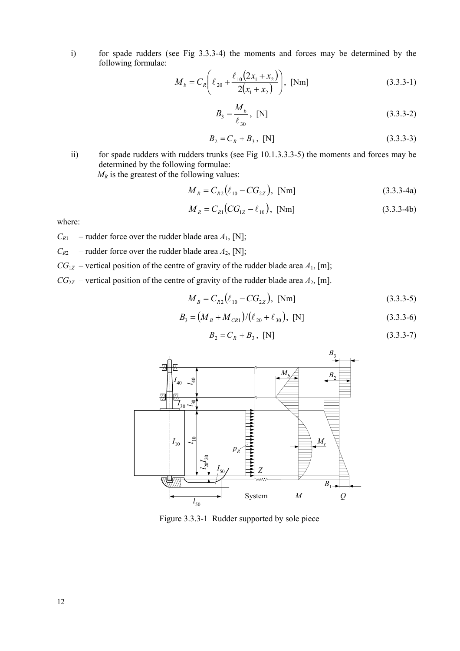i) for spade rudders (see Fig 3.3.3-4) the moments and forces may be determined by the following formulae:

$$
M_b = C_R \left( \ell_{20} + \frac{\ell_{10} (2x_1 + x_2)}{2(x_1 + x_2)} \right), \text{ [Nm]}
$$
 (3.3.3-1)

$$
B_3 = \frac{M_b}{\ell_{30}}, \text{ [N]} \tag{3.3.3-2}
$$

$$
B_2 = C_R + B_3, [N] \tag{3.3.3-3}
$$

ii) for spade rudders with rudders trunks (see Fig 10.1.3.3.3-5) the moments and forces may be determined by the following formulae:

 $M_R$  is the greatest of the following values:

$$
M_R = C_{R2} (\ell_{10} - CG_{2Z}), \text{ [Nm]}
$$
 (3.3.3-4a)

$$
M_R = C_{R1}(CG_{1Z} - \ell_{10}), \text{ [Nm]}
$$
 (3.3.3-4b)

where:

- $C_{R1}$  rudder force over the rudder blade area  $A_1$ , [N];
- $C_{R2}$  rudder force over the rudder blade area  $A_2$ , [N];
- $CG_{1Z}$  vertical position of the centre of gravity of the rudder blade area  $A_1$ , [m];
- $CG_{2Z}$  vertical position of the centre of gravity of the rudder blade area  $A_2$ , [m].

$$
M_B = C_{R2} (\ell_{10} - CG_{2Z}), \text{ [Nm]}
$$
 (3.3.3-5)

$$
B_3 = (M_B + M_{CR1})/(\ell_{20} + \ell_{30}), \text{ [N]}
$$
 (3.3.3-6)

$$
B_2 = C_R + B_3, [N] \tag{3.3.3-7}
$$



Figure 3.3.3-1 Rudder supported by sole piece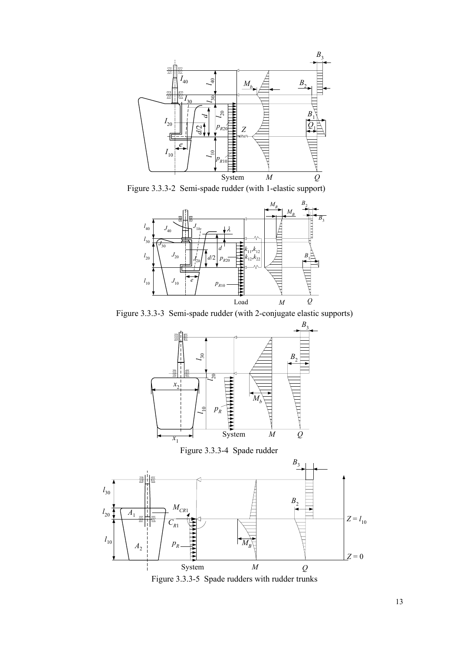

Figure 3.3.3-2 Semi-spade rudder (with 1-elastic support)



Figure 3.3.3-3 Semi-spade rudder (with 2-conjugate elastic supports)





Figure 3.3.3-5 Spade rudders with rudder trunks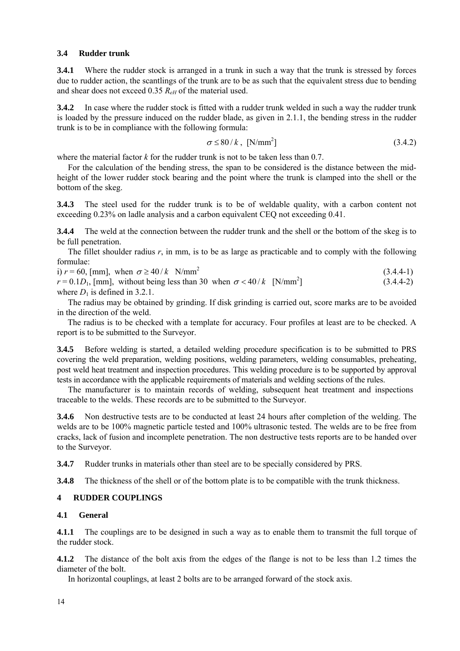## <span id="page-13-0"></span>**3.4 Rudder trunk**

**3.4.1** Where the rudder stock is arranged in a trunk in such a way that the trunk is stressed by forces due to rudder action, the scantlings of the trunk are to be as such that the equivalent stress due to bending and shear does not exceed 0.35 *ReH* of the material used.

**3.4.2** In case where the rudder stock is fitted with a rudder trunk welded in such a way the rudder trunk is loaded by the pressure induced on the rudder blade, as given in 2.1.1, the bending stress in the rudder trunk is to be in compliance with the following formula:

$$
\sigma \le 80/k, \text{ [N/mm}^2 \text{]}
$$
 (3.4.2)

(3.4.4-1)

where the material factor *k* for the rudder trunk is not to be taken less than 0.7.

For the calculation of the bending stress, the span to be considered is the distance between the midheight of the lower rudder stock bearing and the point where the trunk is clamped into the shell or the bottom of the skeg.

**3.4.3** The steel used for the rudder trunk is to be of weldable quality, with a carbon content not exceeding 0.23% on ladle analysis and a carbon equivalent CEQ not exceeding 0.41.

**3.4.4** The weld at the connection between the rudder trunk and the shell or the bottom of the skeg is to be full penetration.

The fillet shoulder radius *r*, in mm, is to be as large as practicable and to comply with the following formulae:

i)  $r = 60$ , [mm], when  $\sigma \ge 40/k$  N/mm<sup>2</sup>

 $r = 0.1D_1$ , [mm], without being less than 30 when  $\sigma < 40/k$  [N/mm<sup>2</sup>]  $(3.4.4-2)$ where  $D_1$  is defined in 3.2.1.

The radius may be obtained by grinding. If disk grinding is carried out, score marks are to be avoided in the direction of the weld.

The radius is to be checked with a template for accuracy. Four profiles at least are to be checked. A report is to be submitted to the Surveyor.

**3.4.5** Before welding is started, a detailed welding procedure specification is to be submitted to PRS covering the weld preparation, welding positions, welding parameters, welding consumables, preheating, post weld heat treatment and inspection procedures. This welding procedure is to be supported by approval tests in accordance with the applicable requirements of materials and welding sections of the rules.

The manufacturer is to maintain records of welding, subsequent heat treatment and inspections traceable to the welds. These records are to be submitted to the Surveyor.

**3.4.6** Non destructive tests are to be conducted at least 24 hours after completion of the welding. The welds are to be 100% magnetic particle tested and 100% ultrasonic tested. The welds are to be free from cracks, lack of fusion and incomplete penetration. The non destructive tests reports are to be handed over to the Surveyor.

**3.4.7** Rudder trunks in materials other than steel are to be specially considered by PRS.

**3.4.8** The thickness of the shell or of the bottom plate is to be compatible with the trunk thickness.

## **4 RUDDER COUPLINGS**

## **4.1 General**

**4.1.1** The couplings are to be designed in such a way as to enable them to transmit the full torque of the rudder stock.

**4.1.2** The distance of the bolt axis from the edges of the flange is not to be less than 1.2 times the diameter of the bolt.

In horizontal couplings, at least 2 bolts are to be arranged forward of the stock axis.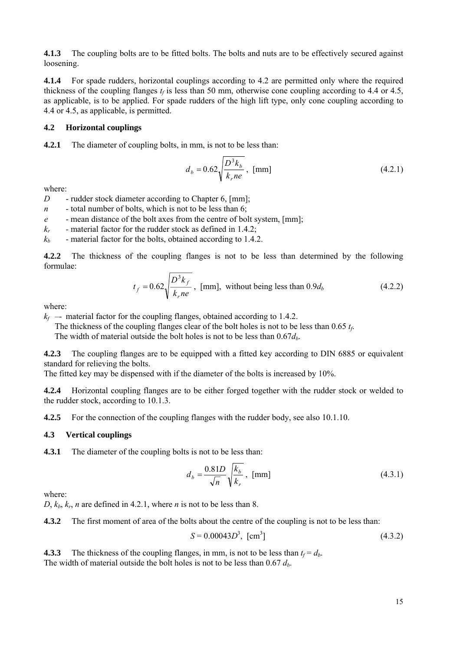<span id="page-14-0"></span>**4.1.3** The coupling bolts are to be fitted bolts. The bolts and nuts are to be effectively secured against loosening.

**4.1.4** For spade rudders, horizontal couplings according to 4.2 are permitted only where the required thickness of the coupling flanges  $t_f$  is less than 50 mm, otherwise cone coupling according to 4.4 or 4.5, as applicable, is to be applied. For spade rudders of the high lift type, only cone coupling according to 4.4 or 4.5, as applicable, is permitted.

#### **4.2 Horizontal couplings**

**4.2.1** The diameter of coupling bolts, in mm, is not to be less than:

$$
d_b = 0.62 \sqrt{\frac{D^3 k_b}{k_r n e}}, \text{ [mm]}
$$
 (4.2.1)

where:

*D* - rudder stock diameter according to Chapter 6, [mm];

- *n -* total number of bolts, which is not to be less than 6;
- *e*  mean distance of the bolt axes from the centre of bolt system, [mm];
- *kr -* material factor for the rudder stock as defined in 1.4.2;
- $k_b$  material factor for the bolts, obtained according to 1.4.2.

**4.2.2** The thickness of the coupling flanges is not to be less than determined by the following formulae:

$$
t_f = 0.62 \sqrt{\frac{D^3 k_f}{k_r n e}}, \text{ [mm]}, \text{ without being less than } 0.9 d_b \tag{4.2.2}
$$

where:

 $k_f$  – material factor for the coupling flanges, obtained according to 1.4.2.

The thickness of the coupling flanges clear of the bolt holes is not to be less than  $0.65 t_f$ .

The width of material outside the bolt holes is not to be less than  $0.67d_b$ .

**4.2.3** The coupling flanges are to be equipped with a fitted key according to DIN 6885 or equivalent standard for relieving the bolts.

The fitted key may be dispensed with if the diameter of the bolts is increased by 10%.

**4.2.4** Horizontal coupling flanges are to be either forged together with the rudder stock or welded to the rudder stock, according to 10.1.3.

**4.2.5** For the connection of the coupling flanges with the rudder body, see also 10.1.10.

## **4.3 Vertical couplings**

**4.3.1** The diameter of the coupling bolts is not to be less than:

$$
d_b = \frac{0.81D}{\sqrt{n}} \sqrt{\frac{k_b}{k_r}}, \text{ [mm]}
$$
 (4.3.1)

where:

 $D, k_b, k_r, n$  are defined in 4.2.1, where *n* is not to be less than 8.

**4.3.2** The first moment of area of the bolts about the centre of the coupling is not to be less than:

$$
S = 0.00043D^3, \text{ [cm}^3\text{]}
$$
 (4.3.2)

**4.3.3** The thickness of the coupling flanges, in mm, is not to be less than  $t_f = d_b$ . The width of material outside the bolt holes is not to be less than  $0.67 d_b$ .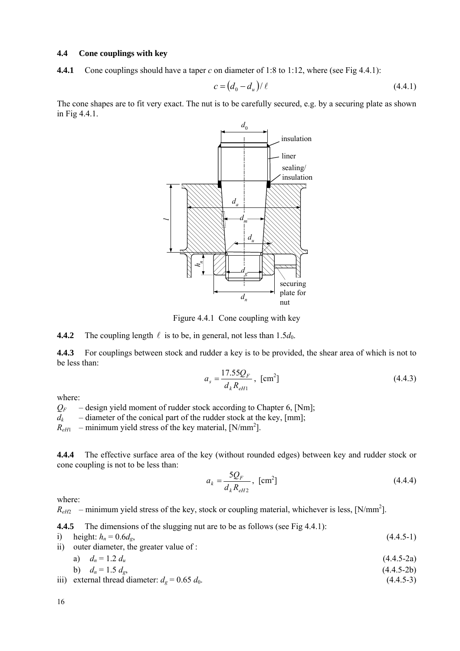## <span id="page-15-0"></span>**4.4 Cone couplings with key**

**4.4.1** Cone couplings should have a taper *c* on diameter of 1:8 to 1:12, where (see Fig 4.4.1):

$$
c = \left(d_0 - d_u\right) / \ell \tag{4.4.1}
$$

The cone shapes are to fit very exact. The nut is to be carefully secured, e.g. by a securing plate as shown in Fig 4.4.1.



Figure 4.4.1 Cone coupling with key

**4.4.2** The coupling length  $\ell$  is to be, in general, not less than 1.5 $d_0$ .

**4.4.3** For couplings between stock and rudder a key is to be provided, the shear area of which is not to be less than:

$$
a_s = \frac{17.55Q_F}{d_k R_{eH1}}, \text{ [cm}^2\text{]}
$$
 (4.4.3)

where:

 $Q_F$  – design yield moment of rudder stock according to Chapter 6, [Nm];

 $d_k$  – diameter of the conical part of the rudder stock at the key, [mm];

 $R_{eH1}$  – minimum yield stress of the key material, [N/mm<sup>2</sup>].

**4.4.4** The effective surface area of the key (without rounded edges) between key and rudder stock or cone coupling is not to be less than:

$$
a_k = \frac{5Q_F}{d_k R_{eH2}}, \text{ [cm}^2\text{]}
$$
 (4.4.4)

where:

 $R<sub>eff2</sub>$  – minimum yield stress of the key, stock or coupling material, whichever is less, [N/mm<sup>2</sup>].

**4.4.5** The dimensions of the slugging nut are to be as follows (see Fig 4.4.1):

i) height:  $h_n = 0.6d_e$ , (4.4.5-1)

ii) outer diameter, the greater value of :

a) 
$$
d_n = 1.2 d_u
$$
 (4.4.5-2a)

b) 
$$
d_n = 1.5 d_g,
$$
 (4.4.5-2b)

iii) external thread diameter:  $d_g = 0.65 d_0$ . (4.4.5-3)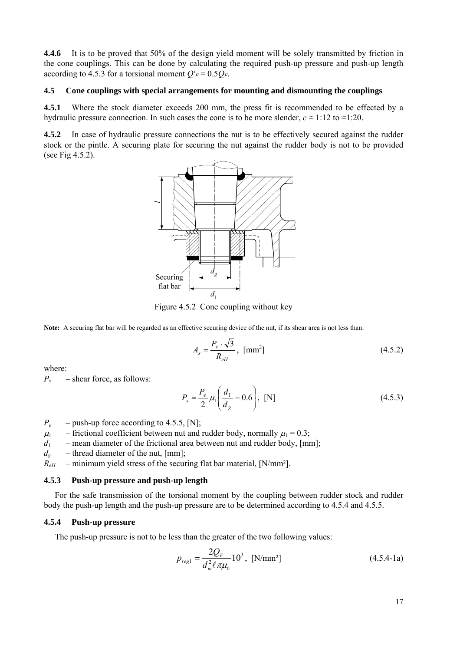<span id="page-16-0"></span>**4.4.6** It is to be proved that 50% of the design yield moment will be solely transmitted by friction in the cone couplings. This can be done by calculating the required push-up pressure and push-up length according to 4.5.3 for a torsional moment  $Q'_F = 0.5Q_F$ .

#### **4.5 Cone couplings with special arrangements for mounting and dismounting the couplings**

**4.5.1** Where the stock diameter exceeds 200 mm, the press fit is recommended to be effected by a hydraulic pressure connection. In such cases the cone is to be more slender,  $c \approx 1:12$  to  $\approx 1:20$ .

**4.5.2** In case of hydraulic pressure connections the nut is to be effectively secured against the rudder stock or the pintle. A securing plate for securing the nut against the rudder body is not to be provided (see Fig 4.5.2).



Figure 4.5.2 Cone coupling without key

**Note:** A securing flat bar will be regarded as an effective securing device of the nut, if its shear area is not less than:

$$
A_s = \frac{P_s \cdot \sqrt{3}}{R_{eH}}, \text{ [mm}^2 \text{]}
$$
 (4.5.2)

where:

*Ps* – shear force, as follows:

$$
P_s = \frac{P_e}{2} \mu_1 \left( \frac{d_1}{d_g} - 0.6 \right), \text{ [N]} \tag{4.5.3}
$$

- $P_e$  push-up force according to 4.5.5, [N];
- $\mu_1$  frictional coefficient between nut and rudder body, normally  $\mu_1 = 0.3$ ;
- $d_1$  mean diameter of the frictional area between nut and rudder body, [mm];
- $d_e$  thread diameter of the nut, [mm];
- $\overline{R}_{eH}$  minimum yield stress of the securing flat bar material, [N/mm<sup>2</sup>].

#### **4.5.3 Push-up pressure and push-up length**

For the safe transmission of the torsional moment by the coupling between rudder stock and rudder body the push-up length and the push-up pressure are to be determined according to 4.5.4 and 4.5.5.

#### **4.5.4 Push-up pressure**

The push-up pressure is not to be less than the greater of the two following values:

$$
p_{reg1} = \frac{2Q_F}{d_m^2 \ell \pi \mu_0} 10^3, \text{ [N/mm²]}
$$
 (4.5.4-1a)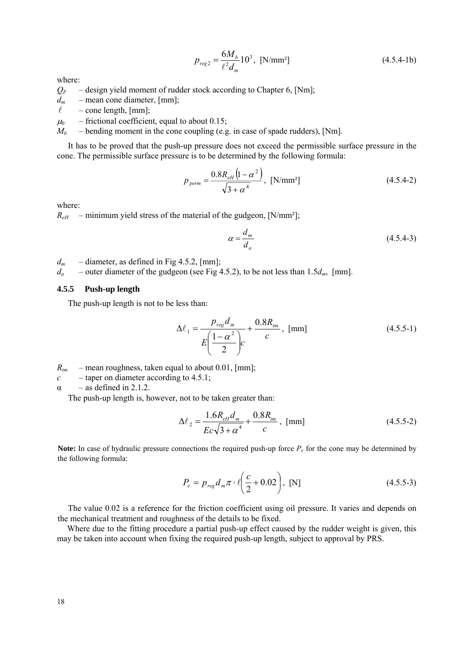$$
p_{reg2} = \frac{6M_b}{\ell^2 d_m} 10^3, \text{ [N/mm²]}
$$
 (4.5.4-1b)

where:

- $Q_F$  design yield moment of rudder stock according to Chapter 6, [Nm];
- $d_m$  mean cone diameter, [mm];
- $\ell$  cone length, [mm];
- $\mu_0$  frictional coefficient, equal to about 0.15;
- $M_b$  bending moment in the cone coupling (e.g. in case of spade rudders), [Nm].

It has to be proved that the push-up pressure does not exceed the permissible surface pressure in the cone. The permissible surface pressure is to be determined by the following formula:

$$
p_{\text{perm}} = \frac{0.8R_{\text{eH}}\left(1 - \alpha^2\right)}{\sqrt{3 + \alpha^4}}, \text{ [N/mm$^2$]} \tag{4.5.4-2}
$$

where:

 $R_{\text{eff}}$  – minimum yield stress of the material of the gudgeon, [N/mm<sup>2</sup>];

$$
\alpha = \frac{d_m}{d_a} \tag{4.5.4-3}
$$

 $d_m$  – diameter, as defined in Fig 4.5.2, [mm];

*da* – outer diameter of the gudgeon (see Fig 4.5.2), to be not less than 1.5*dm*, [mm].

#### **4.5.5 Push-up length**

The push-up length is not to be less than:

$$
\Delta \ell_1 = \frac{p_{reg} d_m}{E \left( \frac{1 - \alpha^2}{2} \right) c} + \frac{0.8 R_{im}}{c}, \text{ [mm]}
$$
 (4.5.5-1)

- $R_{tm}$  mean roughness, taken equal to about 0.01, [mm];
- $c$  taper on diameter according to 4.5.1;
- $\alpha$  as defined in 2.1.2.

The push-up length is, however, not to be taken greater than:

$$
\Delta \ell_2 = \frac{1.6R_{eH}d_m}{Ec\sqrt{3+\alpha^4}} + \frac{0.8R_{tm}}{c}, \text{ [mm]}
$$
 (4.5.5-2)

**Note:** In case of hydraulic pressure connections the required push-up force  $P_e$  for the cone may be determined by the following formula:

$$
P_e = p_{reg} d_m \pi \cdot \ell \left(\frac{c}{2} + 0.02\right), \text{ [N]} \tag{4.5.5-3}
$$

The value 0.02 is a reference for the friction coefficient using oil pressure. It varies and depends on the mechanical treatment and roughness of the details to be fixed.

Where due to the fitting procedure a partial push-up effect caused by the rudder weight is given, this may be taken into account when fixing the required push-up length, subject to approval by PRS.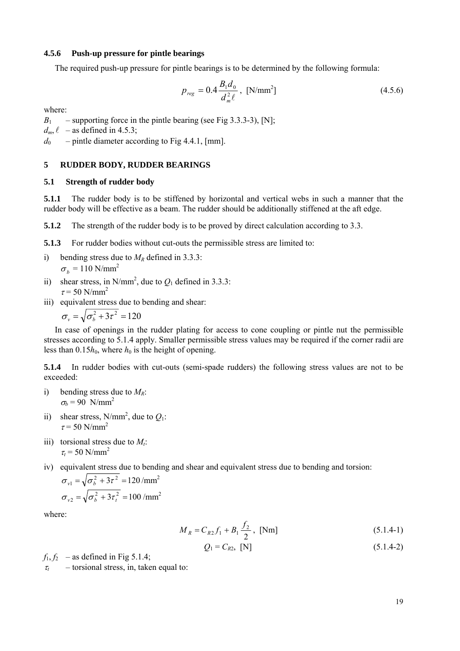#### <span id="page-18-0"></span>**4.5.6 Push-up pressure for pintle bearings**

The required push-up pressure for pintle bearings is to be determined by the following formula:

$$
p_{reg} = 0.4 \frac{B_1 d_0}{d_m^2 \ell}, \text{ [N/mm}^2 \text{]}
$$
 (4.5.6)

where:

 $B_1$  – supporting force in the pintle bearing (see Fig 3.3.3-3), [N];

 $d_m$ ,  $\ell$  – as defined in 4.5.3;

 $d_0$  – pintle diameter according to Fig 4.4.1, [mm].

#### **5 RUDDER BODY, RUDDER BEARINGS**

#### **5.1 Strength of rudder body**

**5.1.1** The rudder body is to be stiffened by horizontal and vertical webs in such a manner that the rudder body will be effective as a beam. The rudder should be additionally stiffened at the aft edge.

**5.1.2** The strength of the rudder body is to be proved by direct calculation according to 3.3.

**5.1.3** For rudder bodies without cut-outs the permissible stress are limited to:

- i) bending stress due to  $M_R$  defined in 3.3.3:  $\sigma_b$  = 110 N/mm<sup>2</sup>
- ii) shear stress, in N/mm<sup>2</sup>, due to  $Q_1$  defined in 3.3.3:  $\tau$  = 50 N/mm<sup>2</sup>
- iii) equivalent stress due to bending and shear:

$$
\sigma_v = \sqrt{\sigma_b^2 + 3\tau^2} = 120
$$

In case of openings in the rudder plating for access to cone coupling or pintle nut the permissible stresses according to 5.1.4 apply. Smaller permissible stress values may be required if the corner radii are less than  $0.15h_0$ , where  $h_0$  is the height of opening.

**5.1.4** In rudder bodies with cut-outs (semi-spade rudders) the following stress values are not to be exceeded:

- i) bending stress due to  $M_R$ :  $\sigma_b$  = 90 N/mm<sup>2</sup>
- ii) shear stress, N/mm<sup>2</sup>, due to  $Q_1$ :  $\tau$  = 50 N/mm<sup>2</sup>
- iii) torsional stress due to  $M_t$ :  $\tau_t$  = 50 N/mm<sup>2</sup>
- iv) equivalent stress due to bending and shear and equivalent stress due to bending and torsion:

$$
\sigma_{v1} = \sqrt{\sigma_b^2 + 3\tau^2} = 120 / \text{mm}^2
$$

$$
\sigma_{v2} = \sqrt{\sigma_b^2 + 3\tau_t^2} = 100 / \text{mm}^2
$$

where:

$$
M_R = C_{R2} f_1 + B_1 \frac{f_2}{2}, \text{ [Nm]}
$$
 (5.1.4-1)

$$
Q_1 = C_{R2}, [N] \tag{5.1.4-2}
$$

 $f_1, f_2$  – as defined in Fig 5.1.4;  $\tau_t$  – torsional stress, in, taken equal to: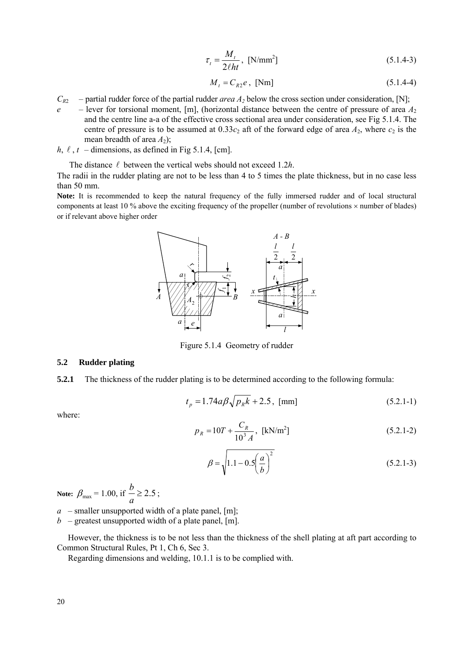$$
\tau_t = \frac{M_t}{2\ell h t}, \text{ [N/mm}^2 \text{]}
$$
\n(5.1.4-3)

$$
M_t = C_{R2}e, \text{ [Nm]} \tag{5.1.4-4}
$$

- <span id="page-19-0"></span> $C_{R2}$  – partial rudder force of the partial rudder *area A<sub>2</sub>* below the cross section under consideration, [N];
- $e$  lever for torsional moment, [m], (horizontal distance between the centre of pressure of area  $A_2$ and the centre line a-a of the effective cross sectional area under consideration, see Fig 5.1.4. The centre of pressure is to be assumed at  $0.33c_2$  aft of the forward edge of area  $A_2$ , where  $c_2$  is the mean breadth of area  $A_2$ );
- *h*,  $\ell$ ,  $t$  dimensions, as defined in Fig 5.1.4, [cm].

The distance  $\ell$  between the vertical webs should not exceed 1.2*h*.

The radii in the rudder plating are not to be less than 4 to 5 times the plate thickness, but in no case less than 50 mm.

Note: It is recommended to keep the natural frequency of the fully immersed rudder and of local structural components at least 10 % above the exciting frequency of the propeller (number of revolutions  $\times$  number of blades) or if relevant above higher order



Figure 5.1.4 Geometry of rudder

#### **5.2 Rudder plating**

**5.2.1** The thickness of the rudder plating is to be determined according to the following formula:

$$
t_p = 1.74a\beta\sqrt{p_k k} + 2.5, \text{ [mm]}
$$
 (5.2.1-1)

where:

$$
p_R = 10T + \frac{C_R}{10^3 A}, \text{ [kN/m}^2\text{]}
$$
 (5.2.1-2)

$$
\beta = \sqrt{1.1 - 0.5 \left(\frac{a}{b}\right)^2}
$$
 (5.2.1-3)

**Note:**  $\beta_{\text{max}} = 1.00$ , if  $\frac{b}{a} \ge 2.5$  $b \ge 2.5$ ;

 $a$  – smaller unsupported width of a plate panel, [m];

 $b$  – greatest unsupported width of a plate panel, [m].

However, the thickness is to be not less than the thickness of the shell plating at aft part according to Common Structural Rules, Pt 1, Ch 6, Sec 3.

Regarding dimensions and welding, 10.1.1 is to be complied with.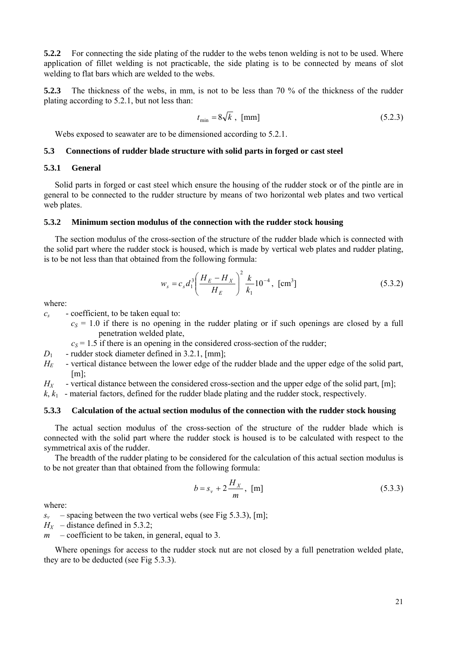<span id="page-20-0"></span>**5.2.2** For connecting the side plating of the rudder to the webs tenon welding is not to be used. Where application of fillet welding is not practicable, the side plating is to be connected by means of slot welding to flat bars which are welded to the webs.

**5.2.3** The thickness of the webs, in mm, is not to be less than 70 % of the thickness of the rudder plating according to 5.2.1, but not less than:

$$
t_{\min} = 8\sqrt{k} \text{ , } \text{[mm]}
$$
 (5.2.3)

Webs exposed to seawater are to be dimensioned according to 5.2.1.

#### **5.3 Connections of rudder blade structure with solid parts in forged or cast steel**

## **5.3.1 General**

Solid parts in forged or cast steel which ensure the housing of the rudder stock or of the pintle are in general to be connected to the rudder structure by means of two horizontal web plates and two vertical web plates.

#### **5.3.2 Minimum section modulus of the connection with the rudder stock housing**

The section modulus of the cross-section of the structure of the rudder blade which is connected with the solid part where the rudder stock is housed, which is made by vertical web plates and rudder plating, is to be not less than that obtained from the following formula:

$$
w_s = c_s d_1^3 \left(\frac{H_E - H_X}{H_E}\right)^2 \frac{k}{k_1} 10^{-4}, \text{ [cm}^3\text{]}
$$
 (5.3.2)

where:

- *cs* coefficient, to be taken equal to:
	- $c_S = 1.0$  if there is no opening in the rudder plating or if such openings are closed by a full penetration welded plate,
	- $c_S$  = 1.5 if there is an opening in the considered cross-section of the rudder;
- $D_1$  rudder stock diameter defined in 3.2.1, [mm];
- *H<sub>E</sub>* vertical distance between the lower edge of the rudder blade and the upper edge of the solid part, [m];

 $H_X$  - vertical distance between the considered cross-section and the upper edge of the solid part, [m];

 $k, k_1$  - material factors, defined for the rudder blade plating and the rudder stock, respectively.

## **5.3.3 Calculation of the actual section modulus of the connection with the rudder stock housing**

The actual section modulus of the cross-section of the structure of the rudder blade which is connected with the solid part where the rudder stock is housed is to be calculated with respect to the symmetrical axis of the rudder.

The breadth of the rudder plating to be considered for the calculation of this actual section modulus is to be not greater than that obtained from the following formula:

$$
b = s_v + 2\frac{H_X}{m}, \text{ [m]}
$$
 (5.3.3)

where:

- $s_v$  spacing between the two vertical webs (see Fig 5.3.3), [m];
- $H_X$  distance defined in 5.3.2;
- *m* coefficient to be taken, in general, equal to 3.

Where openings for access to the rudder stock nut are not closed by a full penetration welded plate, they are to be deducted (see Fig 5.3.3).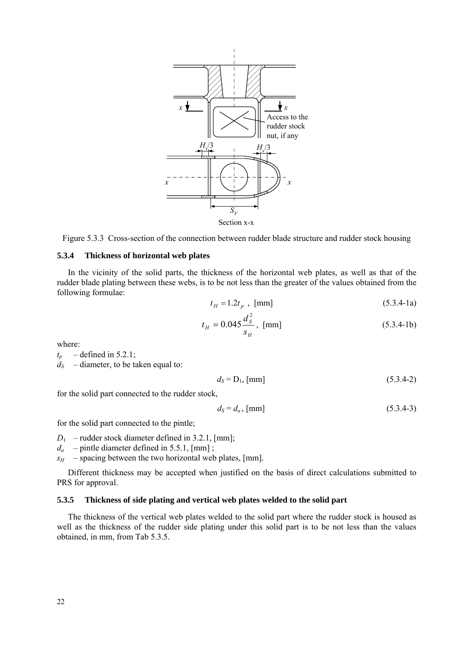



#### **5.3.4 Thickness of horizontal web plates**

In the vicinity of the solid parts, the thickness of the horizontal web plates, as well as that of the rudder blade plating between these webs, is to be not less than the greater of the values obtained from the following formulae:

$$
t_H = 1.2t_p , [mm]
$$
 (5.3.4-1a)

$$
t_H = 0.045 \frac{d_s^2}{s_H}, \text{ [mm]}
$$
 (5.3.4-1b)

where:

 $t_p$  – defined in 5.2.1;  $d_S$  – diameter, to be taken equal to:

$$
d_S = D_1, \text{[mm]}
$$
\n
$$
(5.3.4-2)
$$

for the solid part connected to the rudder stock,

$$
d_S = d_a, \text{[mm]}
$$
 (5.3.4-3)

for the solid part connected to the pintle;

 $D_1$  – rudder stock diameter defined in 3.2.1, [mm];

*da* – pintle diameter defined in 5.5.1, [mm] ;

 $s_H$  – spacing between the two horizontal web plates, [mm].

Different thickness may be accepted when justified on the basis of direct calculations submitted to PRS for approval.

## **5.3.5 Thickness of side plating and vertical web plates welded to the solid part**

The thickness of the vertical web plates welded to the solid part where the rudder stock is housed as well as the thickness of the rudder side plating under this solid part is to be not less than the values obtained, in mm, from Tab 5.3.5.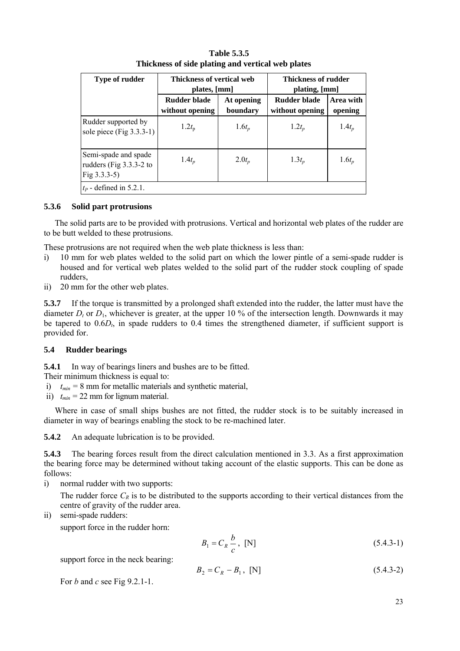<span id="page-22-0"></span>

| <b>Type of rudder</b>                                              | Thickness of vertical web<br>plates, [mm] |                        | <b>Thickness of rudder</b><br>plating, [mm] |                      |
|--------------------------------------------------------------------|-------------------------------------------|------------------------|---------------------------------------------|----------------------|
|                                                                    | Rudder blade<br>without opening           | At opening<br>boundary | Rudder blade<br>without opening             | Area with<br>opening |
| Rudder supported by<br>sole piece (Fig $3.3.3-1$ )                 | $1.2t_{\rm p}$                            | $1.6t_p$               | $1.2t_p$                                    | $1.4t_p$             |
| Semi-spade and spade<br>rudders (Fig 3.3.3-2 to<br>Fig $3.3.3-5$ ) | $1.4t_p$                                  | $2.0t_p$               | $1.3t_p$                                    | $1.6t_p$             |
| $t_P$ - defined in 5.2.1.                                          |                                           |                        |                                             |                      |

## **Table 5.3.5 Thickness of side plating and vertical web plates**

## **5.3.6 Solid part protrusions**

The solid parts are to be provided with protrusions. Vertical and horizontal web plates of the rudder are to be butt welded to these protrusions.

These protrusions are not required when the web plate thickness is less than:

- i) 10 mm for web plates welded to the solid part on which the lower pintle of a semi-spade rudder is housed and for vertical web plates welded to the solid part of the rudder stock coupling of spade rudders,
- ii) 20 mm for the other web plates.

**5.3.7** If the torque is transmitted by a prolonged shaft extended into the rudder, the latter must have the diameter  $D_t$  or  $D_1$ , whichever is greater, at the upper 10 % of the intersection length. Downwards it may be tapered to  $0.6D<sub>t</sub>$ , in spade rudders to 0.4 times the strengthened diameter, if sufficient support is provided for.

## **5.4 Rudder bearings**

**5.4.1** In way of bearings liners and bushes are to be fitted.

- Their minimum thickness is equal to:
- i)  $t_{min} = 8$  mm for metallic materials and synthetic material,
- ii)  $t_{min} = 22$  mm for lignum material.

Where in case of small ships bushes are not fitted, the rudder stock is to be suitably increased in diameter in way of bearings enabling the stock to be re-machined later.

**5.4.2** An adequate lubrication is to be provided.

**5.4.3** The bearing forces result from the direct calculation mentioned in 3.3. As a first approximation the bearing force may be determined without taking account of the elastic supports. This can be done as follows:

i) normal rudder with two supports:

The rudder force  $C_R$  is to be distributed to the supports according to their vertical distances from the centre of gravity of the rudder area.

ii) semi-spade rudders:

support force in the rudder horn:

$$
B_1 = C_R \frac{b}{c}, \text{ [N]} \tag{5.4.3-1}
$$

support force in the neck bearing:

$$
B_2 = C_R - B_1, [N] \tag{5.4.3-2}
$$

For *b* and *c* see Fig 9.2.1-1.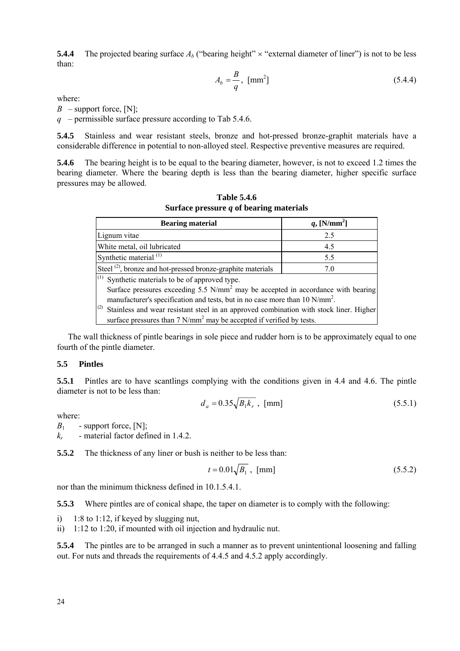<span id="page-23-0"></span>**5.4.4** The projected bearing surface  $A_b$  ("bearing height"  $\times$  "external diameter of liner") is not to be less than:

$$
A_b = \frac{B}{q}, \text{ [mm}^2 \text{]} \tag{5.4.4}
$$

where:

 $B$  – support force, [N];

*q* – permissible surface pressure according to Tab 5.4.6.

**5.4.5** Stainless and wear resistant steels, bronze and hot-pressed bronze-graphit materials have a considerable difference in potential to non-alloyed steel. Respective preventive measures are required.

**5.4.6** The bearing height is to be equal to the bearing diameter, however, is not to exceed 1.2 times the bearing diameter. Where the bearing depth is less than the bearing diameter, higher specific surface pressures may be allowed.

**Table 5.4.6 Surface pressure** *q* **of bearing materials** 

| <b>Bearing material</b>                                                                       | $q$ , [N/mm <sup>2</sup> ] |  |  |  |
|-----------------------------------------------------------------------------------------------|----------------------------|--|--|--|
| Lignum vitae                                                                                  | 2.5                        |  |  |  |
| White metal, oil lubricated                                                                   | 4.5                        |  |  |  |
| Synthetic material <sup>(1)</sup>                                                             | 5.5                        |  |  |  |
| Steel <sup>(2)</sup> , bronze and hot-pressed bronze-graphite materials                       | 7.0                        |  |  |  |
| $(1)$ Synthetic materials to be of approved type.                                             |                            |  |  |  |
| Surface pressures exceeding 5.5 $N/mm^2$ may be accepted in accordance with bearing           |                            |  |  |  |
| manufacturer's specification and tests, but in no case more than 10 N/mm <sup>2</sup> .       |                            |  |  |  |
| (2)<br>Stainless and wear resistant steel in an approved combination with stock liner. Higher |                            |  |  |  |
| surface pressures than 7 N/mm <sup>2</sup> may be accepted if verified by tests.              |                            |  |  |  |

The wall thickness of pintle bearings in sole piece and rudder horn is to be approximately equal to one fourth of the pintle diameter.

#### **5.5 Pintles**

**5.5.1** Pintles are to have scantlings complying with the conditions given in 4.4 and 4.6. The pintle diameter is not to be less than:

$$
d_a = 0.35 \sqrt{B_1 k_r} , [mm]
$$
 (5.5.1)

where:

 $B_1$  - support force, [N];

*kr* - material factor defined in 1.4.2.

**5.5.2** The thickness of any liner or bush is neither to be less than:

$$
t = 0.01\sqrt{B_1} \, , \, \text{[mm]} \tag{5.5.2}
$$

nor than the minimum thickness defined in 10.1.5.4.1.

**5.5.3** Where pintles are of conical shape, the taper on diameter is to comply with the following:

i) 1:8 to 1:12, if keyed by slugging nut,

ii) 1:12 to 1:20, if mounted with oil injection and hydraulic nut.

**5.5.4** The pintles are to be arranged in such a manner as to prevent unintentional loosening and falling out. For nuts and threads the requirements of 4.4.5 and 4.5.2 apply accordingly.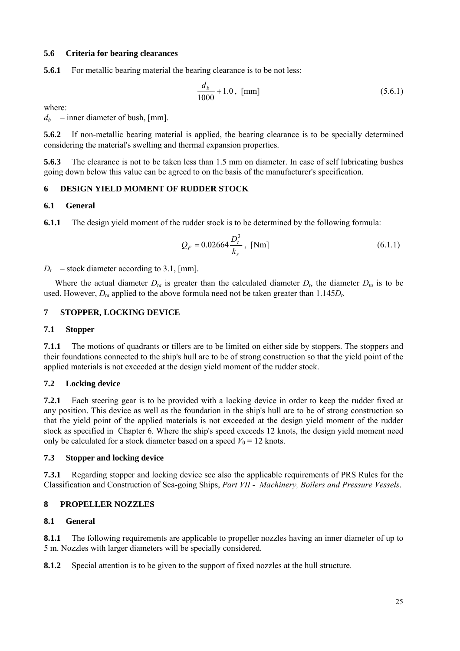## <span id="page-24-0"></span>**5.6 Criteria for bearing clearances**

**5.6.1** For metallic bearing material the bearing clearance is to be not less:

$$
\frac{d_b}{1000} + 1.0, \text{ [mm]}
$$
 (5.6.1)

where:

 $d_b$  – inner diameter of bush, [mm].

**5.6.2** If non-metallic bearing material is applied, the bearing clearance is to be specially determined considering the material's swelling and thermal expansion properties.

**5.6.3** The clearance is not to be taken less than 1.5 mm on diameter. In case of self lubricating bushes going down below this value can be agreed to on the basis of the manufacturer's specification.

## **6 DESIGN YIELD MOMENT OF RUDDER STOCK**

## **6.1 General**

**6.1.1** The design yield moment of the rudder stock is to be determined by the following formula:

$$
Q_F = 0.02664 \frac{D_i^3}{k_r}, \text{ [Nm]} \tag{6.1.1}
$$

 $D_t$  – stock diameter according to 3.1, [mm].

Where the actual diameter  $D_{ta}$  is greater than the calculated diameter  $D_{ta}$ , the diameter  $D_{ta}$  is to be used. However,  $D_{ta}$  applied to the above formula need not be taken greater than  $1.145D_t$ .

## **7 STOPPER, LOCKING DEVICE**

## **7.1 Stopper**

**7.1.1** The motions of quadrants or tillers are to be limited on either side by stoppers. The stoppers and their foundations connected to the ship's hull are to be of strong construction so that the yield point of the applied materials is not exceeded at the design yield moment of the rudder stock.

## **7.2 Locking device**

**7.2.1** Each steering gear is to be provided with a locking device in order to keep the rudder fixed at any position. This device as well as the foundation in the ship's hull are to be of strong construction so that the yield point of the applied materials is not exceeded at the design yield moment of the rudder stock as specified in Chapter 6. Where the ship's speed exceeds 12 knots, the design yield moment need only be calculated for a stock diameter based on a speed  $V_0 = 12$  knots.

## **7.3 Stopper and locking device**

**7.3.1** Regarding stopper and locking device see also the applicable requirements of PRS Rules for the Classification and Construction of Sea-going Ships, *Part VII - Machinery, Boilers and Pressure Vessels*.

## **8 PROPELLER NOZZLES**

## **8.1 General**

**8.1.1** The following requirements are applicable to propeller nozzles having an inner diameter of up to 5 m. Nozzles with larger diameters will be specially considered.

**8.1.2** Special attention is to be given to the support of fixed nozzles at the hull structure.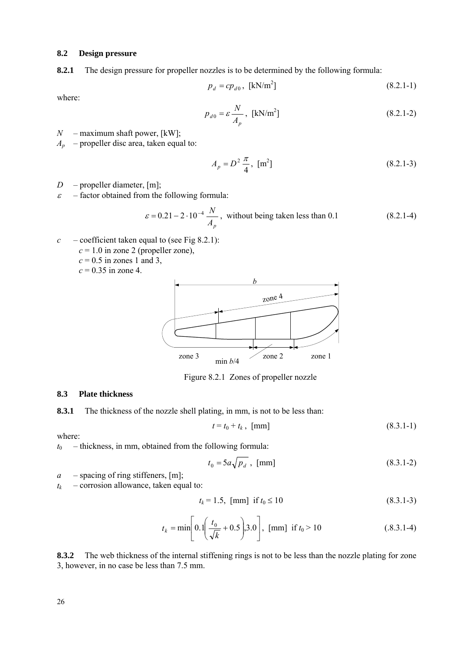#### <span id="page-25-0"></span>**8.2 Design pressure**

**8.2.1** The design pressure for propeller nozzles is to be determined by the following formula:

$$
p_d = cp_{d0}, \text{ [kN/m}^2\text{]}
$$
 (8.2.1-1)

where:

$$
p_{d0} = \varepsilon \frac{N}{A_p}, \text{ [kN/m}^2\text{]}
$$
 (8.2.1-2)

*N* – maximum shaft power, [kW];

 $A_p$  – propeller disc area, taken equal to:

$$
A_p = D^2 \frac{\pi}{4}, \,\,[\text{m}^2] \tag{8.2.1-3}
$$

- *D* propeller diameter, [m];
- $\epsilon$  factor obtained from the following formula:

$$
\varepsilon = 0.21 - 2 \cdot 10^{-4} \frac{N}{A_p}
$$
, without being taken less than 0.1 (8.2.1-4)

- $c$  coefficient taken equal to (see Fig 8.2.1):
	- $c = 1.0$  in zone 2 (propeller zone),
		- $c = 0.5$  in zones 1 and 3,

 $c = 0.35$  in zone 4.



Figure 8.2.1 Zones of propeller nozzle

#### **8.3 Plate thickness**

**8.3.1** The thickness of the nozzle shell plating, in mm, is not to be less than:

$$
t = t_0 + t_k, \text{ [mm]}
$$
 (8.3.1-1)

where:

 $t_0$  – thickness, in mm, obtained from the following formula:

$$
t_0 = 5a\sqrt{p_d} \, , \, \text{[mm]} \tag{8.3.1-2}
$$

*a* – spacing of ring stiffeners, [m];

 $t_k$  – corrosion allowance, taken equal to:

$$
t_k = 1.5, [mm] \text{ if } t_0 \le 10 \tag{8.3.1-3}
$$

$$
t_k = \min\left[0.1\left(\frac{t_0}{\sqrt{k}} + 0.5\right), 3.0\right], \text{ [mm] if } t_0 > 10
$$
 (0.8.3.1-4)

**8.3.2** The web thickness of the internal stiffening rings is not to be less than the nozzle plating for zone 3, however, in no case be less than 7.5 mm.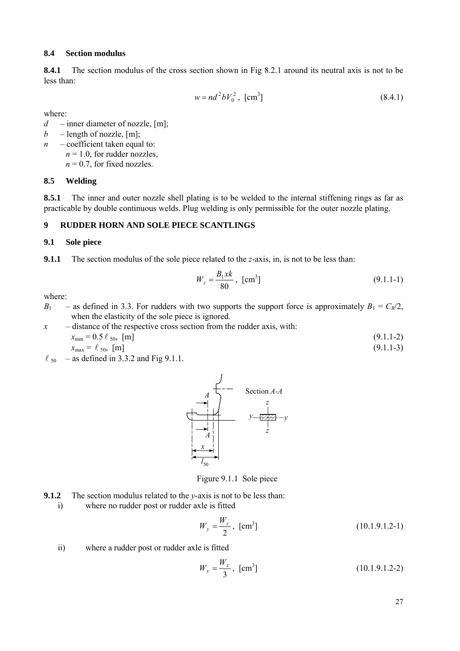#### <span id="page-26-0"></span>**8.4 Section modulus**

**8.4.1** The section modulus of the cross section shown in Fig 8.2.1 around its neutral axis is not to be less than:

$$
w = nd^2 b V_0^2
$$
, [cm<sup>3</sup>] (8.4.1)

where:

*d* – inner diameter of nozzle, [m];

 $b$  – length of nozzle, [m];

*n* – coefficient taken equal to:  $n = 1.0$ , for rudder nozzles,  $n = 0.7$ , for fixed nozzles.

## **8.5 Welding**

8.5.1 The inner and outer nozzle shell plating is to be welded to the internal stiffening rings as far as practicable by double continuous welds. Plug welding is only permissible for the outer nozzle plating.

## **9 RUDDER HORN AND SOLE PIECE SCANTLINGS**

## **9.1 Sole piece**

**9.1.1** The section modulus of the sole piece related to the *z*-axis, in, is not to be less than:

$$
W_z = \frac{B_1 x k}{80}, \text{ [cm}^3\text{]}
$$
 (9.1.1-1)

where:

- *B*<sub>1</sub> as defined in 3.3. For rudders with two supports the support force is approximately  $B_1 = C_R/2$ , when the elasticity of the sole piece is ignored.
- *x* distance of the respective cross section from the rudder axis, with:  $x_{\min} = 0.5 \ell_{50}$ , [m] (9.1.1-2)
	- $x_{\text{max}} = \ell_{50}$ , [m] (9.1.1-3)
- $\ell_{50}$  as defined in 3.3.2 and Fig 9.1.1.



Figure 9.1.1 Sole piece

- **9.1.2** The section modulus related to the *y*-axis is not to be less than:
	- i) where no rudder post or rudder axle is fitted

$$
W_y = \frac{W_z}{2}, \text{ [cm}^3\text{]}
$$
 (10.1.9.1.2-1)

ii) where a rudder post or rudder axle is fitted

$$
W_y = \frac{W_z}{3}, \text{ [cm}^3\text{]}
$$
 (10.1.9.1.2-2)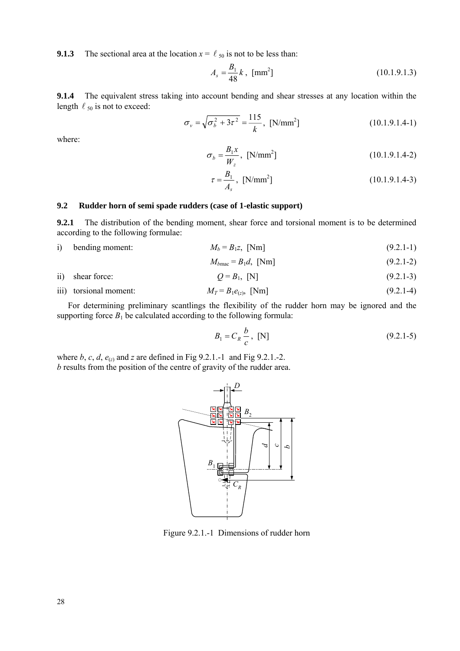<span id="page-27-0"></span>**9.1.3** The sectional area at the location  $x = l_{50}$  is not to be less than:

$$
A_s = \frac{B_1}{48} k , [mm^2]
$$
 (10.1.9.1.3)

**9.1.4** The equivalent stress taking into account bending and shear stresses at any location within the length  $\ell_{50}$  is not to exceed:

$$
\sigma_{v} = \sqrt{\sigma_{b}^{2} + 3\tau^{2}} = \frac{115}{k}, \text{ [N/mm}^{2}]
$$
 (10.1.9.1.4-1)

where:

$$
\sigma_b = \frac{B_1 x}{W_z}, \text{ [N/mm}^2 \text{]}
$$
 (10.1.9.1.4-2)

$$
\tau = \frac{B_1}{A_s}, \text{ [N/mm}^2 \text{]} \tag{10.1.9.1.4-3}
$$

#### **9.2 Rudder horn of semi spade rudders (case of 1-elastic support)**

**9.2.1** The distribution of the bending moment, shear force and torsional moment is to be determined according to the following formulae:

i) bending moment:  $M_b = B_1 z$ , [Nm] (9.2.1-1)

$$
M_{b\text{mac}} = B_1 d, \text{ [Nm]} \tag{9.2.1-2}
$$

- ii) shear force:  $Q = B_1$ , [N] (9.2.1-3)
- iii) torsional moment:  $M_T = B_1e_{(z)}$ , [Nm] (9.2.1-4)

For determining preliminary scantlings the flexibility of the rudder horn may be ignored and the supporting force  $B_1$  be calculated according to the following formula:

$$
B_1 = C_R \frac{b}{c}, \text{ [N]} \tag{9.2.1-5}
$$

where *b*, *c*, *d*,  $e_{(z)}$  and *z* are defined in Fig 9.2.1.-1 and Fig 9.2.1.-2. *b* results from the position of the centre of gravity of the rudder area.



Figure 9.2.1.-1 Dimensions of rudder horn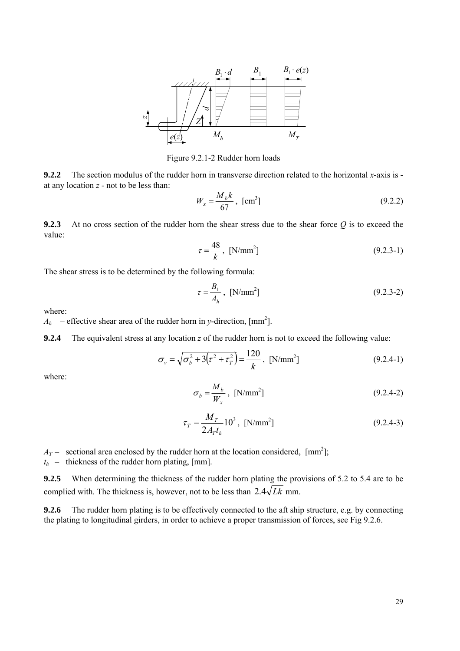

Figure 9.2.1-2 Rudder horn loads

**9.2.2** The section modulus of the rudder horn in transverse direction related to the horizontal *x*-axis is at any location *z* - not to be less than:

$$
W_x = \frac{M_b k}{67}, \text{ [cm}^3\text{]}
$$
 (9.2.2)

**9.2.3** At no cross section of the rudder horn the shear stress due to the shear force *Q* is to exceed the value:

$$
\tau = \frac{48}{k}, \text{ [N/mm}^2 \text{]}
$$
 (9.2.3-1)

The shear stress is to be determined by the following formula:

$$
\tau = \frac{B_1}{A_h}, \text{ [N/mm}^2 \text{]} \tag{9.2.3-2}
$$

where:

 $A_h$  – effective shear area of the rudder horn in *y*-direction, [mm<sup>2</sup>].

**9.2.4** The equivalent stress at any location *z* of the rudder horn is not to exceed the following value:

$$
\sigma_{v} = \sqrt{\sigma_{b}^{2} + 3(\tau^{2} + \tau_{T}^{2})} = \frac{120}{k}, \text{ [N/mm}^{2}]
$$
\n(9.2.4-1)

where:

$$
\sigma_b = \frac{M_b}{W_x}, \text{ [N/mm}^2 \text{]}
$$
 (9.2.4-2)

$$
\tau_{T} = \frac{M_{T}}{2A_{T}t_{h}}10^{3}, \text{ [N/mm}^{2}\text{]}
$$
 (9.2.4-3)

 $A_T$  – sectional area enclosed by the rudder horn at the location considered,  $\text{[mm}^2\text{]}$ ;

 $t_h$  – thickness of the rudder horn plating, [mm].

**9.2.5** When determining the thickness of the rudder horn plating the provisions of 5.2 to 5.4 are to be complied with. The thickness is, however, not to be less than  $2.4\sqrt{Lk}$  mm.

**9.2.6** The rudder horn plating is to be effectively connected to the aft ship structure, e.g. by connecting the plating to longitudinal girders, in order to achieve a proper transmission of forces, see Fig 9.2.6.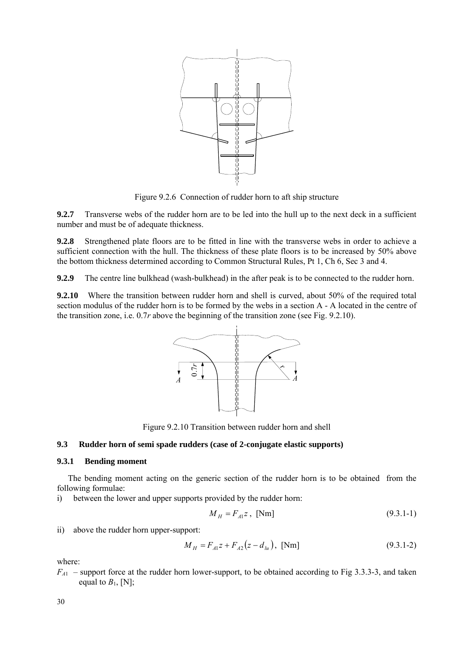<span id="page-29-0"></span>

Figure 9.2.6 Connection of rudder horn to aft ship structure

**9.2.7** Transverse webs of the rudder horn are to be led into the hull up to the next deck in a sufficient number and must be of adequate thickness.

**9.2.8** Strengthened plate floors are to be fitted in line with the transverse webs in order to achieve a sufficient connection with the hull. The thickness of these plate floors is to be increased by 50% above the bottom thickness determined according to Common Structural Rules, Pt 1, Ch 6, Sec 3 and 4.

**9.2.9** The centre line bulkhead (wash-bulkhead) in the after peak is to be connected to the rudder horn.

**9.2.10** Where the transition between rudder horn and shell is curved, about 50% of the required total section modulus of the rudder horn is to be formed by the webs in a section A - A located in the centre of the transition zone, i.e. 0.7*r* above the beginning of the transition zone (see Fig. 9.2.10).



Figure 9.2.10 Transition between rudder horn and shell

## **9.3 Rudder horn of semi spade rudders (case of 2-conjugate elastic supports)**

#### **9.3.1 Bending moment**

The bending moment acting on the generic section of the rudder horn is to be obtained from the following formulae:

i) between the lower and upper supports provided by the rudder horn:

$$
M_H = F_{A1}z, \text{ [Nm]} \tag{9.3.1-1}
$$

ii) above the rudder horn upper-support:

$$
M_H = F_{A1}z + F_{A2}(z - d_{lu}), \text{ [Nm]}
$$
 (9.3.1-2)

where:

 $F_{A1}$  – support force at the rudder horn lower-support, to be obtained according to Fig 3.3.3-3, and taken equal to  $B_1$ , [N];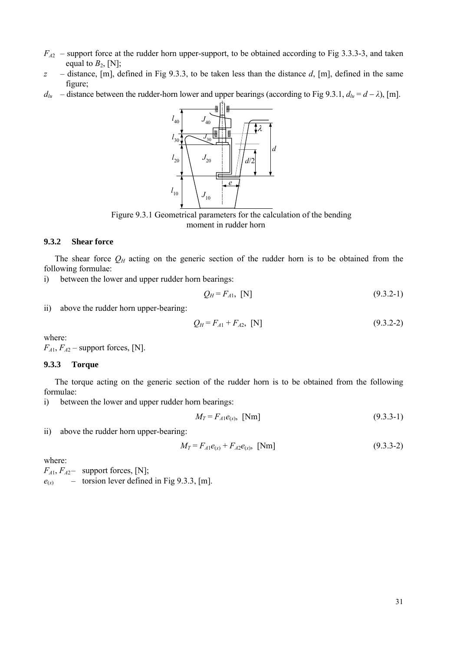- $F_{A2}$  support force at the rudder horn upper-support, to be obtained according to Fig 3.3.3-3, and taken equal to  $B_2$ , [N];
- *z* distance, [m], defined in Fig 9.3.3, to be taken less than the distance *d*, [m], defined in the same figure;
- *d*<sub>lu</sub> distance between the rudder-horn lower and upper bearings (according to Fig 9.3.1,  $d_{lu} = d \lambda$ ), [m].



Figure 9.3.1 Geometrical parameters for the calculation of the bending moment in rudder horn

## **9.3.2 Shear force**

The shear force  $Q_H$  acting on the generic section of the rudder horn is to be obtained from the following formulae:

i) between the lower and upper rudder horn bearings:

$$
Q_H = F_{A1}, \text{ [N]} \tag{9.3.2-1}
$$

ii) above the rudder horn upper-bearing:

$$
Q_H = F_{A1} + F_{A2}, \text{ [N]} \tag{9.3.2-2}
$$

where:

 $F_{A1}$ ,  $F_{A2}$  – support forces, [N].

#### **9.3.3 Torque**

The torque acting on the generic section of the rudder horn is to be obtained from the following formulae:

i) between the lower and upper rudder horn bearings:

$$
M_T = F_{A1}e_{(x)}, \text{ [Nm]} \tag{9.3.3-1}
$$

ii) above the rudder horn upper-bearing:

$$
M_T = F_{A1}e_{(x)} + F_{A2}e_{(x)}, \text{ [Nm]} \tag{9.3.3-2}
$$

where:

 $F_{A1}$ ,  $F_{A2}$  – support forces, [N];

 $e_{(x)}$  – torsion lever defined in Fig 9.3.3, [m].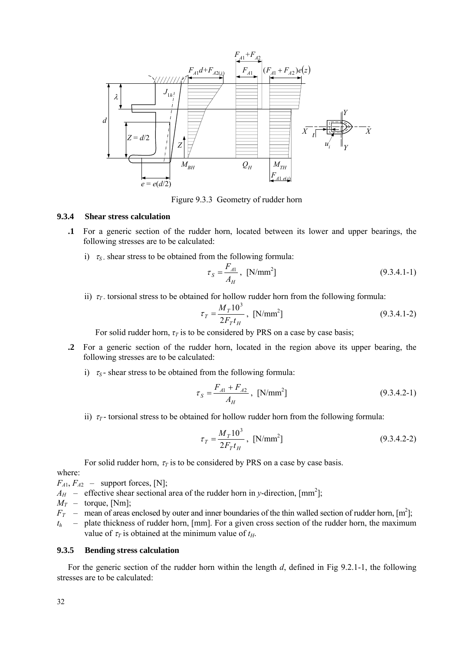

Figure 9.3.3 Geometry of rudder horn

## **9.3.4 Shear stress calculation**

- **.1** For a generic section of the rudder horn, located between its lower and upper bearings, the following stresses are to be calculated:
	- i)  $\tau_s$  shear stress to be obtained from the following formula:

$$
\tau_S = \frac{F_{A1}}{A_H}, \text{ [N/mm}^2 \text{]}
$$
 (9.3.4.1-1)

ii)  $\tau$ <sub>*T*</sub> torsional stress to be obtained for hollow rudder horn from the following formula:

$$
\tau_T = \frac{M_T 10^3}{2F_T t_H}, \text{ [N/mm}^2 \text{]}
$$
 (9.3.4.1-2)

For solid rudder horn,  $\tau$ <sup>*T*</sup> is to be considered by PRS on a case by case basis;

- **.2** For a generic section of the rudder horn, located in the region above its upper bearing, the following stresses are to be calculated:
	- i)  $\tau_s$  shear stress to be obtained from the following formula:

$$
\tau_{S} = \frac{F_{A1} + F_{A2}}{A_H}, \text{ [N/mm}^2 \text{]}
$$
 (9.3.4.2-1)

ii)  $\tau$ <sup>-</sup> torsional stress to be obtained for hollow rudder horn from the following formula:

$$
\tau_T = \frac{M_T 10^3}{2F_T t_H}, \text{ [N/mm}^2 \text{]}
$$
 (9.3.4.2-2)

For solid rudder horn,  $\tau$ <sup>*T*</sup> is to be considered by PRS on a case by case basis.

where:

 $F_{A1}$ ,  $F_{A2}$  – support forces, [N];

 $A_H$  – effective shear sectional area of the rudder horn in *y*-direction, [mm<sup>2</sup>];

- $M_T$  torque, [Nm]:
- $F_T$  mean of areas enclosed by outer and inner boundaries of the thin walled section of rudder horn,  $[m^2]$ ;
- *th* plate thickness of rudder horn, [mm]. For a given cross section of the rudder horn, the maximum value of  $\tau$ <sup>*T*</sup> is obtained at the minimum value of  $t$ <sup>*H*</sup>.

#### **9.3.5 Bending stress calculation**

For the generic section of the rudder horn within the length *d*, defined in Fig 9.2.1-1, the following stresses are to be calculated: